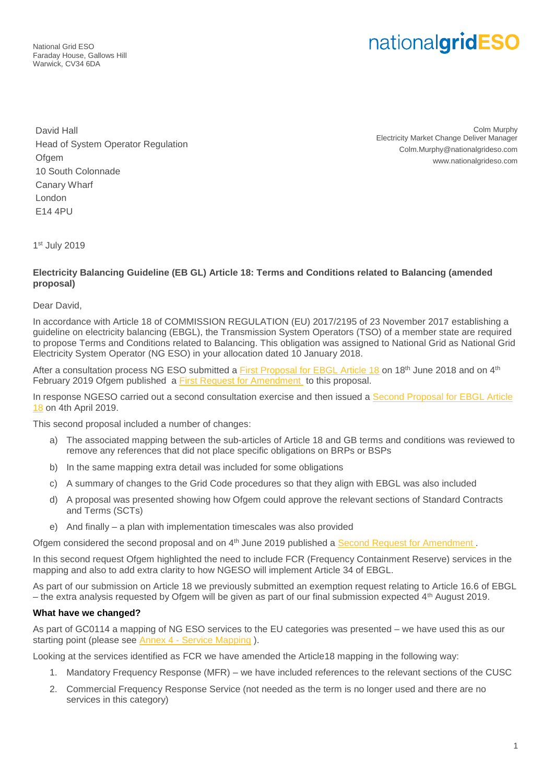National Grid ESO Faraday House, Gallows Hill Warwick, CV34 6DA

## nationalgridESO

David Hall Head of System Operator Regulation **Ofgem** 10 South Colonnade Canary Wharf London E14 4PU

Colm Murphy Electricity Market Change Deliver Manager Colm.Murphy@nationalgrideso.com www.nationalgrideso.com

1 st July 2019

## **Electricity Balancing Guideline (EB GL) Article 18: Terms and Conditions related to Balancing (amended proposal)**

Dear David,

In accordance with Article 18 of COMMISSION REGULATION (EU) 2017/2195 of 23 November 2017 establishing a guideline on electricity balancing (EBGL), the Transmission System Operators (TSO) of a member state are required to propose Terms and Conditions related to Balancing. This obligation was assigned to National Grid as National Grid Electricity System Operator (NG ESO) in your allocation dated 10 January 2018.

After a consultation process NG ESO submitted a [First Proposal for EBGL Article 18](https://www.nationalgrideso.com/document/117301/download) on 18th June 2018 and on 4th February 2019 Ofgem published a [First Request for Amendment](https://www.ofgem.gov.uk/publications-and-updates/decision-request-amendment-transmission-system-operators-proposal-terms-and-conditions-related-balancing) to this proposal.

In response NGESO carried out a second consultation exercise and then issued a [Second Proposal for EBGL Article](https://www.nationalgrideso.com/codes/european-network-codes/meetings/consultation-amended-proposal-ebgl-article-18-terms-and)  [18](https://www.nationalgrideso.com/codes/european-network-codes/meetings/consultation-amended-proposal-ebgl-article-18-terms-and) on 4th April 2019.

This second proposal included a number of changes:

- a) The associated mapping between the sub-articles of Article 18 and GB terms and conditions was reviewed to remove any references that did not place specific obligations on BRPs or BSPs
- b) In the same mapping extra detail was included for some obligations
- c) A summary of changes to the Grid Code procedures so that they align with EBGL was also included
- d) A proposal was presented showing how Ofgem could approve the relevant sections of Standard Contracts and Terms (SCTs)
- e) And finally a plan with implementation timescales was also provided

Ofgem considered the second proposal and on 4<sup>th</sup> June 2019 published a Second Request for Amendment.

In this second request Ofgem highlighted the need to include FCR (Frequency Containment Reserve) services in the mapping and also to add extra clarity to how NGESO will implement Article 34 of EBGL.

As part of our submission on Article 18 we previously submitted an exemption request relating to Article 16.6 of EBGL – the extra analysis requested by Ofgem will be given as part of our final submission expected 4th August 2019.

## **What have we changed?**

As part of GC0114 a mapping of NG ESO services to the EU categories was presented – we have used this as our starting point (please see **Annex 4 - [Service Mapping](https://www.nationalgrideso.com/codes/grid-code/modifications/gc0114-system-operation-guideline-prequalification-processes)**).

Looking at the services identified as FCR we have amended the Article18 mapping in the following way:

- 1. Mandatory Frequency Response (MFR) we have included references to the relevant sections of the CUSC
- 2. Commercial Frequency Response Service (not needed as the term is no longer used and there are no services in this category)